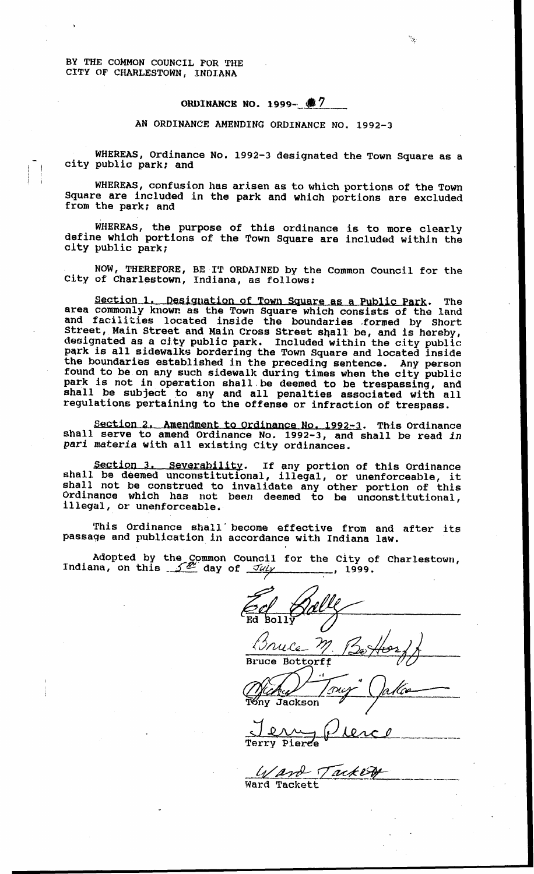**BY THE COMMON** COUNCIL FOR **THE**  CITY OF CHARLESTOWN, INDIANA

**ORDINANCE NO. 1999- 7** 

AN ORDINANCE AMENDlNG ORDINANCE NO. 1992-3

**WHEREAS,** Ordinance No. **1992-3** designated the Town Square as **a**  city public park; and

**WHEREAS,** confusion **has** arisen **as** to which portions *of* the Town Square are included in the park and which portions **are** excluded from the park; **and** 

**WHEREAS,** the purpose **of** this ordinance is to more **clearly**  define which portions of the Town Square are included within the **city** public park;

**NOW, THEREFORE, BE IT ORDAINED** by the Common Council **for the**  City of Charlestown, Indiana, *8s* follows:

Section 2. Designation **of Town Square as** a Public Park . The area commonly known *as* the **Town** Square which consists of the **land**  and **facilities** located inside the boundaries .formed by Short Street, Main Street and Main Cross Street shall be, and **is** hereby, designated **as a** city public park. Included within the city public: park is **all** sidewalks bordering the Town Square and located inside the boundaries established in the preceding sentence. Any person found to be on any such sidewalk during times when the city public park is not in operation shall be deemed to be trespassing, and shall be subject to any and all penalties associated with all regulations pertaining to the offense or infraction of trespass.

Section 2. Amendment to Ordinance No. 1992-3. This Ordinance shall serve to amend Ordinance No. 1992-3, and shall be read *in*  pari *materia* **with** all existing City ordinances.

Section 3. Severability. If any portion of this Ordinance shall be deemed unconstitutional, illegal, or unenforceable, it shall not be construed to invalidate **any** other portion **of** this Ordinance which has not been deemed to be unconstitutional, illegal, or unenforceable,

This Ordinance shall-become affective from **and after its**  passage and publication **in** accordance with Indiana law.

Adopted by the Common Council for the City of Charlestown,<br>Indiana, on this  $\frac{1}{2}$  day of  $\frac{7u/y}{2}$ , 1999.

Ed Ed Bolly *Bolly*  - Bruce *Bruce* **Bottorff** *&A&* 

Jackson

**\_I.- ---I** Terry Pierce

**Ward** Tackett